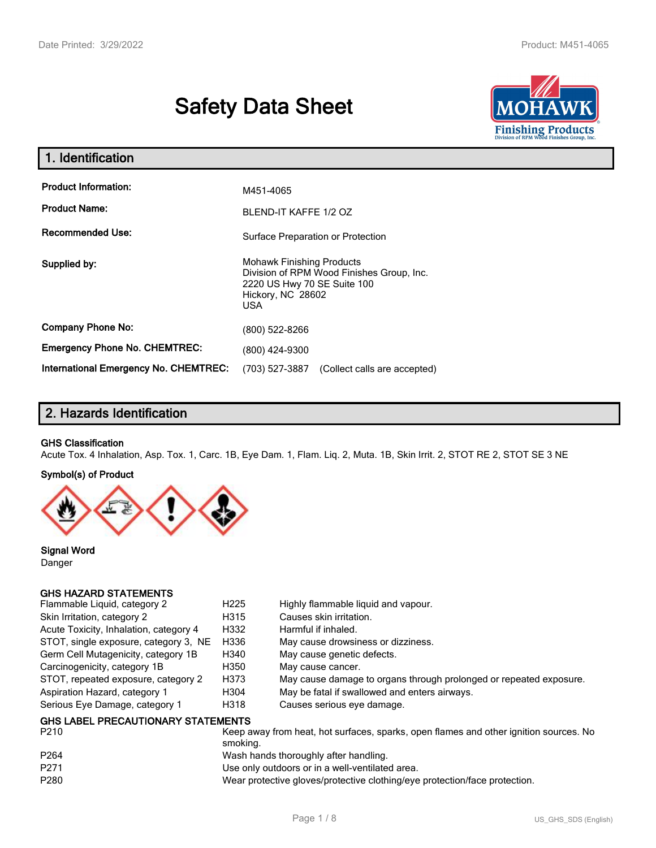# **Safety Data Sheet**



| 1. Identification                     |                                                                                                                                                 |
|---------------------------------------|-------------------------------------------------------------------------------------------------------------------------------------------------|
| <b>Product Information:</b>           | M451-4065                                                                                                                                       |
| <b>Product Name:</b>                  | BLEND-IT KAFFE 1/2 OZ                                                                                                                           |
| <b>Recommended Use:</b>               | Surface Preparation or Protection                                                                                                               |
| Supplied by:                          | <b>Mohawk Finishing Products</b><br>Division of RPM Wood Finishes Group, Inc.<br>2220 US Hwy 70 SE Suite 100<br>Hickory, NC 28602<br><b>USA</b> |
| <b>Company Phone No:</b>              | (800) 522-8266                                                                                                                                  |
| <b>Emergency Phone No. CHEMTREC:</b>  | (800) 424-9300                                                                                                                                  |
| International Emergency No. CHEMTREC: | (703) 527-3887<br>(Collect calls are accepted)                                                                                                  |

## **2. Hazards Identification**

#### **GHS Classification**

Acute Tox. 4 Inhalation, Asp. Tox. 1, Carc. 1B, Eye Dam. 1, Flam. Liq. 2, Muta. 1B, Skin Irrit. 2, STOT RE 2, STOT SE 3 NE

#### **Symbol(s) of Product**



**Signal Word** Danger

#### **GHS HAZARD STATEMENTS**

| Flammable Liquid, category 2              | H <sub>225</sub> | Highly flammable liquid and vapour.                                |
|-------------------------------------------|------------------|--------------------------------------------------------------------|
| Skin Irritation, category 2               | H315             | Causes skin irritation.                                            |
| Acute Toxicity, Inhalation, category 4    | H332             | Harmful if inhaled.                                                |
| STOT, single exposure, category 3, NE     | H336             | May cause drowsiness or dizziness.                                 |
| Germ Cell Mutagenicity, category 1B       | H340             | May cause genetic defects.                                         |
| Carcinogenicity, category 1B              | H350             | May cause cancer.                                                  |
| STOT, repeated exposure, category 2       | H373             | May cause damage to organs through prolonged or repeated exposure. |
| Aspiration Hazard, category 1             | H304             | May be fatal if swallowed and enters airways.                      |
| Serious Eye Damage, category 1            | H318             | Causes serious eye damage.                                         |
| <b>GHS LABEL PRECAUTIONARY STATEMENTS</b> |                  |                                                                    |

| P <sub>210</sub> | Keep away from heat, hot surfaces, sparks, open flames and other ignition sources. No<br>smoking. |
|------------------|---------------------------------------------------------------------------------------------------|
| P <sub>264</sub> | Wash hands thoroughly after handling.                                                             |
| P271             | Use only outdoors or in a well-ventilated area.                                                   |
| P <sub>280</sub> | Wear protective gloves/protective clothing/eye protection/face protection.                        |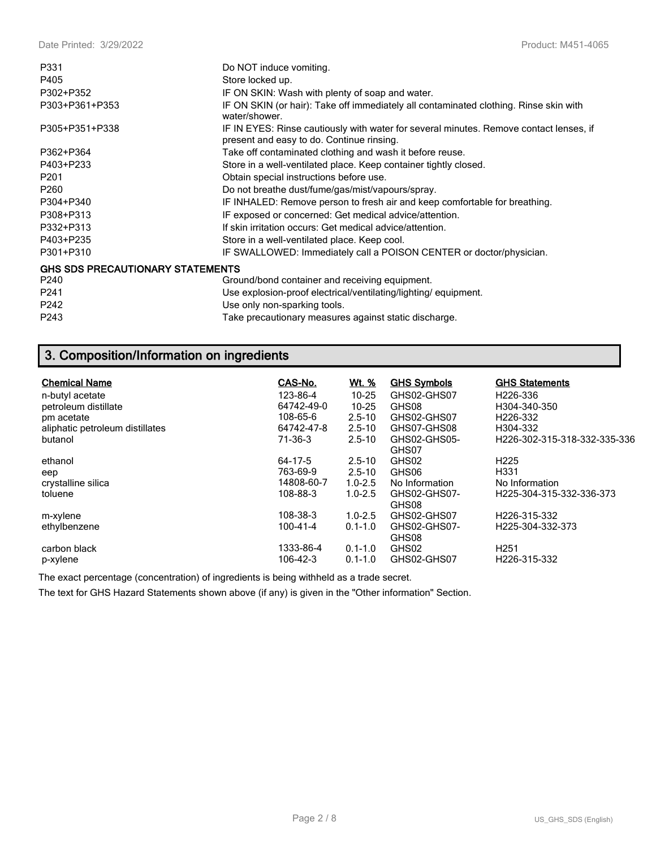| Do NOT induce vomiting.                                                                                                             |
|-------------------------------------------------------------------------------------------------------------------------------------|
| Store locked up.                                                                                                                    |
| IF ON SKIN: Wash with plenty of soap and water.                                                                                     |
| IF ON SKIN (or hair): Take off immediately all contaminated clothing. Rinse skin with<br>water/shower.                              |
| IF IN EYES: Rinse cautiously with water for several minutes. Remove contact lenses, if<br>present and easy to do. Continue rinsing. |
| Take off contaminated clothing and wash it before reuse.                                                                            |
| Store in a well-ventilated place. Keep container tightly closed.                                                                    |
| Obtain special instructions before use.                                                                                             |
| Do not breathe dust/fume/gas/mist/vapours/spray.                                                                                    |
| IF INHALED: Remove person to fresh air and keep comfortable for breathing.                                                          |
| IF exposed or concerned: Get medical advice/attention.                                                                              |
| If skin irritation occurs: Get medical advice/attention.                                                                            |
| Store in a well-ventilated place. Keep cool.                                                                                        |
| IF SWALLOWED: Immediately call a POISON CENTER or doctor/physician.                                                                 |
| <b>GHS SDS PRECAUTIONARY STATEMENTS</b>                                                                                             |
| Ground/bond container and receiving equipment.                                                                                      |
| Use explosion-proof electrical/ventilating/lighting/equipment.                                                                      |
| Use only non-sparking tools.                                                                                                        |
| Take precautionary measures against static discharge.                                                                               |
|                                                                                                                                     |

## **3. Composition/Information on ingredients**

| <b>Chemical Name</b>            | CAS-No.        | <u>Wt. %</u> | <b>GHS Symbols</b>    | <b>GHS Statements</b>                     |
|---------------------------------|----------------|--------------|-----------------------|-------------------------------------------|
| n-butyl acetate                 | 123-86-4       | $10 - 25$    | GHS02-GHS07           | H <sub>226</sub> -336                     |
| petroleum distillate            | 64742-49-0     | $10 - 25$    | GHS08                 | H304-340-350                              |
| pm acetate                      | 108-65-6       | $2.5 - 10$   | GHS02-GHS07           | H <sub>226</sub> -332                     |
| aliphatic petroleum distillates | 64742-47-8     | $2.5 - 10$   | GHS07-GHS08           | H304-332                                  |
| butanol                         | 71-36-3        | $2.5 - 10$   | GHS02-GHS05-          | H <sub>226</sub> -302-315-318-332-335-336 |
|                                 |                |              | GHS07                 |                                           |
| ethanol                         | 64-17-5        | $2.5 - 10$   | GHS02                 | H <sub>225</sub>                          |
| eep                             | 763-69-9       | $2.5 - 10$   | GHS06                 | H331                                      |
| crystalline silica              | 14808-60-7     | $1.0 - 2.5$  | No Information        | No Information                            |
| toluene                         | 108-88-3       | $1.0 - 2.5$  | GHS02-GHS07-<br>GHS08 | H225-304-315-332-336-373                  |
| m-xylene                        | 108-38-3       | $1.0 - 2.5$  | GHS02-GHS07           | H226-315-332                              |
| ethylbenzene                    | $100 - 41 - 4$ | $0.1 - 1.0$  | GHS02-GHS07-<br>GHS08 | H225-304-332-373                          |
| carbon black                    | 1333-86-4      | $0.1 - 1.0$  | GHS02                 | H <sub>251</sub>                          |
| p-xylene                        | 106-42-3       | $0.1 - 1.0$  | GHS02-GHS07           | H226-315-332                              |

The exact percentage (concentration) of ingredients is being withheld as a trade secret.

The text for GHS Hazard Statements shown above (if any) is given in the "Other information" Section.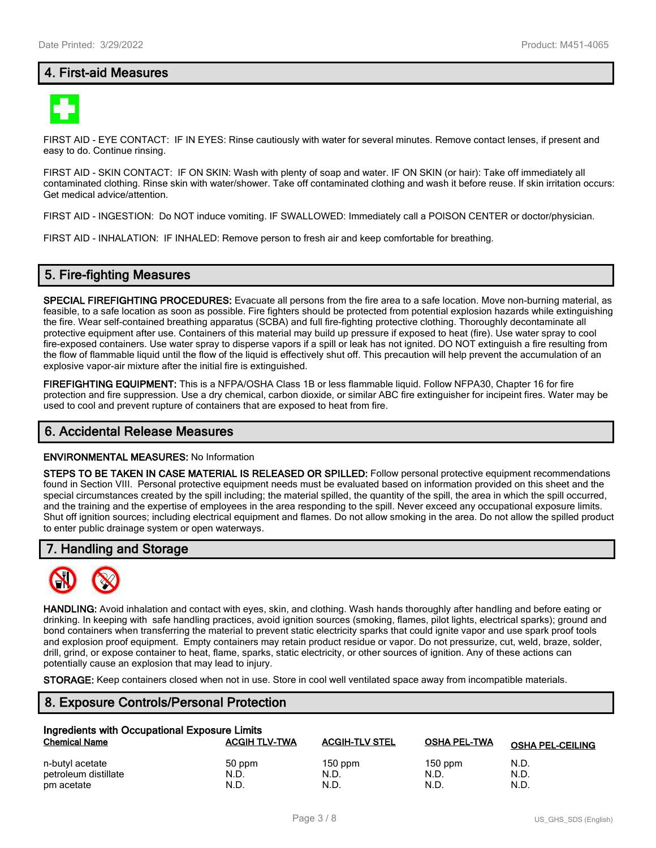## **4. First-aid Measures**



FIRST AID - EYE CONTACT: IF IN EYES: Rinse cautiously with water for several minutes. Remove contact lenses, if present and easy to do. Continue rinsing.

FIRST AID - SKIN CONTACT: IF ON SKIN: Wash with plenty of soap and water. IF ON SKIN (or hair): Take off immediately all contaminated clothing. Rinse skin with water/shower. Take off contaminated clothing and wash it before reuse. If skin irritation occurs: Get medical advice/attention.

FIRST AID - INGESTION: Do NOT induce vomiting. IF SWALLOWED: Immediately call a POISON CENTER or doctor/physician.

FIRST AID - INHALATION: IF INHALED: Remove person to fresh air and keep comfortable for breathing.

## **5. Fire-fighting Measures**

**SPECIAL FIREFIGHTING PROCEDURES:** Evacuate all persons from the fire area to a safe location. Move non-burning material, as feasible, to a safe location as soon as possible. Fire fighters should be protected from potential explosion hazards while extinguishing the fire. Wear self-contained breathing apparatus (SCBA) and full fire-fighting protective clothing. Thoroughly decontaminate all protective equipment after use. Containers of this material may build up pressure if exposed to heat (fire). Use water spray to cool fire-exposed containers. Use water spray to disperse vapors if a spill or leak has not ignited. DO NOT extinguish a fire resulting from the flow of flammable liquid until the flow of the liquid is effectively shut off. This precaution will help prevent the accumulation of an explosive vapor-air mixture after the initial fire is extinguished.

**FIREFIGHTING EQUIPMENT:** This is a NFPA/OSHA Class 1B or less flammable liquid. Follow NFPA30, Chapter 16 for fire protection and fire suppression. Use a dry chemical, carbon dioxide, or similar ABC fire extinguisher for incipeint fires. Water may be used to cool and prevent rupture of containers that are exposed to heat from fire.

#### **6. Accidental Release Measures**

#### **ENVIRONMENTAL MEASURES:** No Information

**STEPS TO BE TAKEN IN CASE MATERIAL IS RELEASED OR SPILLED:** Follow personal protective equipment recommendations found in Section VIII. Personal protective equipment needs must be evaluated based on information provided on this sheet and the special circumstances created by the spill including; the material spilled, the quantity of the spill, the area in which the spill occurred, and the training and the expertise of employees in the area responding to the spill. Never exceed any occupational exposure limits. Shut off ignition sources; including electrical equipment and flames. Do not allow smoking in the area. Do not allow the spilled product to enter public drainage system or open waterways.

#### **7. Handling and Storage**



**HANDLING:** Avoid inhalation and contact with eyes, skin, and clothing. Wash hands thoroughly after handling and before eating or drinking. In keeping with safe handling practices, avoid ignition sources (smoking, flames, pilot lights, electrical sparks); ground and bond containers when transferring the material to prevent static electricity sparks that could ignite vapor and use spark proof tools and explosion proof equipment. Empty containers may retain product residue or vapor. Do not pressurize, cut, weld, braze, solder, drill, grind, or expose container to heat, flame, sparks, static electricity, or other sources of ignition. Any of these actions can potentially cause an explosion that may lead to injury.

**STORAGE:** Keep containers closed when not in use. Store in cool well ventilated space away from incompatible materials.

## **8. Exposure Controls/Personal Protection**

| Ingredients with Occupational Exposure Limits |                      |                       |                     |                         |  |  |
|-----------------------------------------------|----------------------|-----------------------|---------------------|-------------------------|--|--|
| <b>Chemical Name</b>                          | <b>ACGIH TLV-TWA</b> | <b>ACGIH-TLV STEL</b> | <b>OSHA PEL-TWA</b> | <b>OSHA PEL-CEILING</b> |  |  |
| n-butyl acetate                               | 50 ppm               | $150$ ppm             | $150$ ppm           | N.D.                    |  |  |
| petroleum distillate                          | N.D.                 | N.D.                  | N.D.                | N.D.                    |  |  |
| pm acetate                                    | N.D.                 | N.D.                  | N.D.                | N.D.                    |  |  |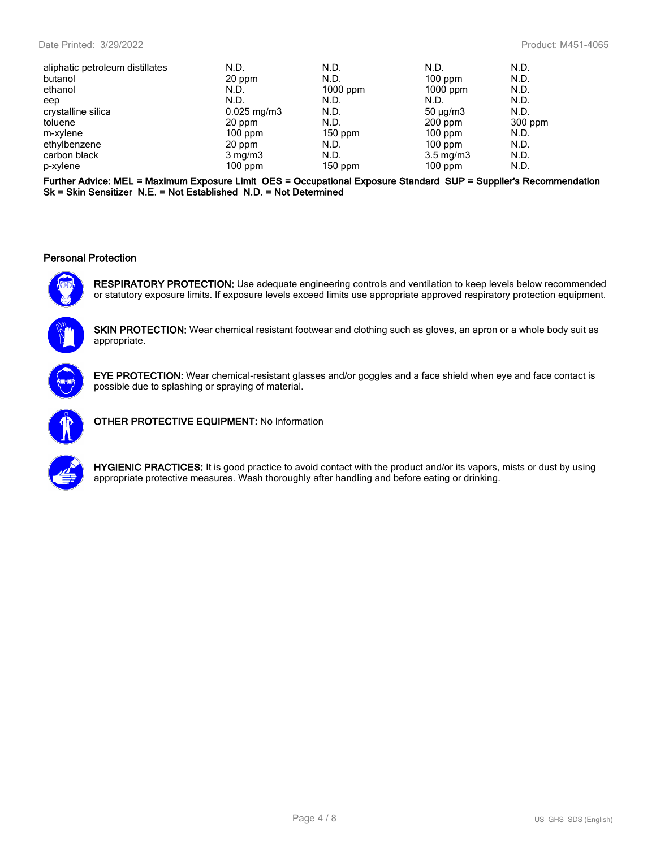| aliphatic petroleum distillates | N.D.                   | N.D.       | N.D.               | N.D.    |
|---------------------------------|------------------------|------------|--------------------|---------|
| butanol                         | 20 ppm                 | N.D.       | $100$ ppm          | N.D.    |
| ethanol                         | N.D.                   | $1000$ ppm | $1000$ ppm         | N.D.    |
| eep                             | N.D.                   | N.D.       | N.D.               | N.D.    |
| crystalline silica              | $0.025 \text{ mg/m}$ 3 | N.D.       | $50 \mu q/m3$      | N.D.    |
| toluene                         | 20 ppm                 | N.D.       | $200$ ppm          | 300 ppm |
| m-xylene                        | $100$ ppm              | $150$ ppm  | $100$ ppm          | N.D.    |
| ethylbenzene                    | 20 ppm                 | N.D.       | $100$ ppm          | N.D.    |
| carbon black                    | $3 \text{ mg/m}$       | N.D.       | $3.5 \text{ mg/m}$ | N.D.    |
| p-xylene                        | $100$ ppm              | $150$ ppm  | $100$ ppm          | N.D.    |

**Further Advice: MEL = Maximum Exposure Limit OES = Occupational Exposure Standard SUP = Supplier's Recommendation Sk = Skin Sensitizer N.E. = Not Established N.D. = Not Determined**

#### **Personal Protection**



**RESPIRATORY PROTECTION:** Use adequate engineering controls and ventilation to keep levels below recommended or statutory exposure limits. If exposure levels exceed limits use appropriate approved respiratory protection equipment.



**SKIN PROTECTION:** Wear chemical resistant footwear and clothing such as gloves, an apron or a whole body suit as appropriate.



**EYE PROTECTION:** Wear chemical-resistant glasses and/or goggles and a face shield when eye and face contact is possible due to splashing or spraying of material.



**OTHER PROTECTIVE EQUIPMENT:** No Information



**HYGIENIC PRACTICES:** It is good practice to avoid contact with the product and/or its vapors, mists or dust by using appropriate protective measures. Wash thoroughly after handling and before eating or drinking.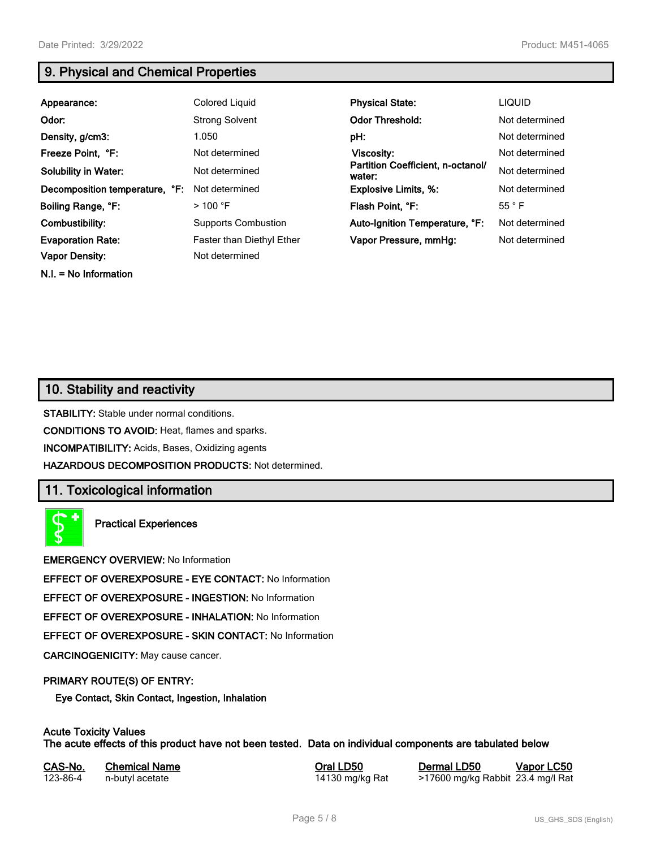**N.I. = No Information**

## **9. Physical and Chemical Properties**

| Appearance:                    | <b>Colored Liquid</b>      | <b>Physical State:</b>                      | <b>LIQUID</b>  |
|--------------------------------|----------------------------|---------------------------------------------|----------------|
| Odor:                          | <b>Strong Solvent</b>      | <b>Odor Threshold:</b>                      | Not determined |
| Density, g/cm3:                | 1.050                      | pH:                                         | Not determined |
| Freeze Point, °F:              | Not determined             | Viscosity:                                  | Not determined |
| <b>Solubility in Water:</b>    | Not determined             | Partition Coefficient, n-octanol/<br>water: | Not determined |
| Decomposition temperature, °F: | Not determined             | <b>Explosive Limits, %:</b>                 | Not determined |
| Boiling Range, °F:             | $>$ 100 °F                 | Flash Point, °F:                            | 55 °F          |
| Combustibility:                | <b>Supports Combustion</b> | Auto-Ignition Temperature, °F:              | Not determined |
| <b>Evaporation Rate:</b>       | Faster than Diethyl Ether  | Vapor Pressure, mmHg:                       | Not determined |
| <b>Vapor Density:</b>          | Not determined             |                                             |                |

## **10. Stability and reactivity**

**STABILITY:** Stable under normal conditions.

**CONDITIONS TO AVOID:** Heat, flames and sparks.

**INCOMPATIBILITY:** Acids, Bases, Oxidizing agents

**HAZARDOUS DECOMPOSITION PRODUCTS:** Not determined.

## **11. Toxicological information**

**Practical Experiences**

**EMERGENCY OVERVIEW:** No Information

**EFFECT OF OVEREXPOSURE - EYE CONTACT:** No Information

**EFFECT OF OVEREXPOSURE - INGESTION:** No Information

**EFFECT OF OVEREXPOSURE - INHALATION:** No Information

**EFFECT OF OVEREXPOSURE - SKIN CONTACT:** No Information

**CARCINOGENICITY:** May cause cancer.

#### **PRIMARY ROUTE(S) OF ENTRY:**

**Eye Contact, Skin Contact, Ingestion, Inhalation**

#### **Acute Toxicity Values**

**The acute effects of this product have not been tested. Data on individual components are tabulated below**

| CAS-No.  | <b>Chemical Name</b> | Oral LD50       | Dermal |
|----------|----------------------|-----------------|--------|
| 123-86-4 | n-butyl acetate      | 14130 mg/kg Rat | >17600 |

**CAS-No. Chemical Name Oral LD50 Dermal LD50 Vapor LC50** mg/kg Rabbit 23.4 mg/l Rat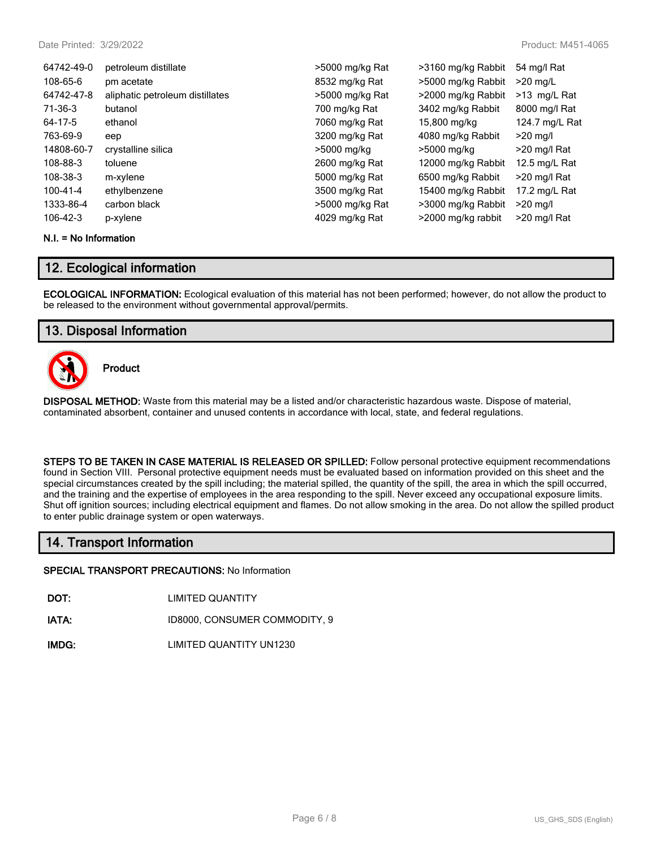| 64742-49-0     | petroleum distillate            | >5000 mg/kg Rat | >3160 mg/kg Rabbit | 54 mg/l Rat     |
|----------------|---------------------------------|-----------------|--------------------|-----------------|
| 108-65-6       | pm acetate                      | 8532 mg/kg Rat  | >5000 mg/kg Rabbit | $>20$ mg/L      |
| 64742-47-8     | aliphatic petroleum distillates | >5000 mg/kg Rat | >2000 mg/kg Rabbit | >13 mg/L Rat    |
| 71-36-3        | butanol                         | 700 mg/kg Rat   | 3402 mg/kg Rabbit  | 8000 mg/l Rat   |
| 64-17-5        | ethanol                         | 7060 mg/kg Rat  | 15,800 mg/kg       | 124.7 mg/L Rat  |
| 763-69-9       | eep                             | 3200 mg/kg Rat  | 4080 mg/kg Rabbit  | $>20$ mg/l      |
| 14808-60-7     | crystalline silica              | >5000 mg/kg     | >5000 mg/kg        | >20 mg/l Rat    |
| 108-88-3       | toluene                         | 2600 mg/kg Rat  | 12000 mg/kg Rabbit | 12.5 mg/L Rat   |
| 108-38-3       | m-xylene                        | 5000 mg/kg Rat  | 6500 mg/kg Rabbit  | $>$ 20 mg/l Rat |
| $100 - 41 - 4$ | ethylbenzene                    | 3500 mg/kg Rat  | 15400 mg/kg Rabbit | 17.2 mg/L Rat   |
| 1333-86-4      | carbon black                    | >5000 mg/kg Rat | >3000 mg/kg Rabbit | $>20$ mg/l      |
| 106-42-3       | p-xylene                        | 4029 mg/kg Rat  | >2000 mg/kg rabbit | >20 mg/l Rat    |

#### **N.I. = No Information**

### **12. Ecological information**

**ECOLOGICAL INFORMATION:** Ecological evaluation of this material has not been performed; however, do not allow the product to be released to the environment without governmental approval/permits.

## **13. Disposal Information**



**Product**

**DISPOSAL METHOD:** Waste from this material may be a listed and/or characteristic hazardous waste. Dispose of material, contaminated absorbent, container and unused contents in accordance with local, state, and federal regulations.

**STEPS TO BE TAKEN IN CASE MATERIAL IS RELEASED OR SPILLED:** Follow personal protective equipment recommendations found in Section VIII. Personal protective equipment needs must be evaluated based on information provided on this sheet and the special circumstances created by the spill including; the material spilled, the quantity of the spill, the area in which the spill occurred, and the training and the expertise of employees in the area responding to the spill. Never exceed any occupational exposure limits. Shut off ignition sources; including electrical equipment and flames. Do not allow smoking in the area. Do not allow the spilled product to enter public drainage system or open waterways.

## **14. Transport Information**

**SPECIAL TRANSPORT PRECAUTIONS:** No Information

**DOT:** LIMITED QUANTITY

**IATA:** ID8000, CONSUMER COMMODITY, 9

**IMDG:** LIMITED QUANTITY UN1230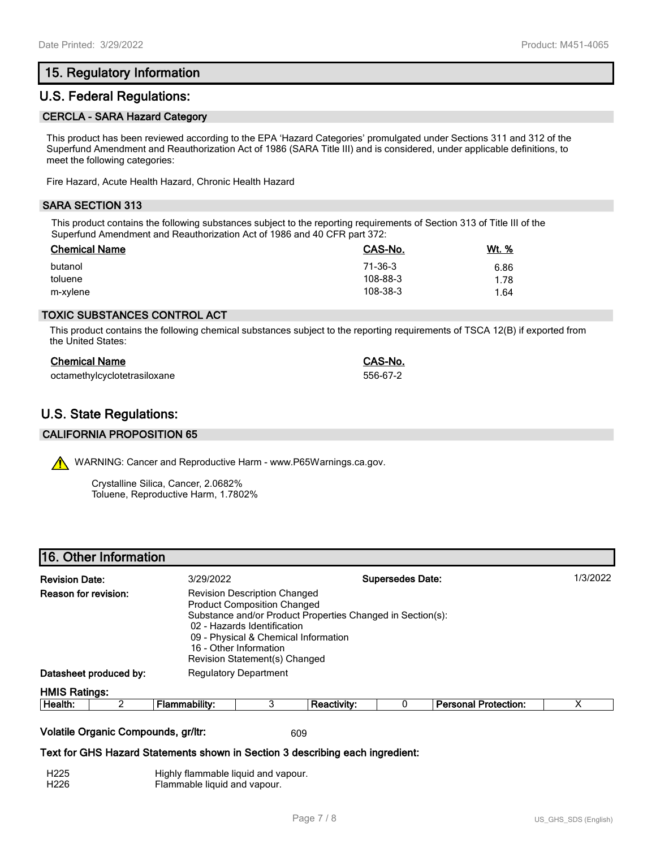## **15. Regulatory Information**

## **U.S. Federal Regulations:**

#### **CERCLA - SARA Hazard Category**

This product has been reviewed according to the EPA 'Hazard Categories' promulgated under Sections 311 and 312 of the Superfund Amendment and Reauthorization Act of 1986 (SARA Title III) and is considered, under applicable definitions, to meet the following categories:

Fire Hazard, Acute Health Hazard, Chronic Health Hazard

#### **SARA SECTION 313**

This product contains the following substances subject to the reporting requirements of Section 313 of Title III of the Superfund Amendment and Reauthorization Act of 1986 and 40 CFR part 372:

| <b>Chemical Name</b> | CAS-No.  | <u>Wt. %</u> |
|----------------------|----------|--------------|
| butanol              | 71-36-3  | 6.86         |
| toluene              | 108-88-3 | 1.78         |
| m-xylene             | 108-38-3 | 1.64         |

#### **TOXIC SUBSTANCES CONTROL ACT**

This product contains the following chemical substances subject to the reporting requirements of TSCA 12(B) if exported from the United States:

| <b>Chemical Name</b>         | CAS-No.  |
|------------------------------|----------|
| octamethylcyclotetrasiloxane | 556-67-2 |

## **U.S. State Regulations:**

#### **CALIFORNIA PROPOSITION 65**

WARNING: Cancer and Reproductive Harm - www.P65Warnings.ca.gov.

Crystalline Silica, Cancer, 2.0682% Toluene, Reproductive Harm, 1.7802%

| 16. Other Information |  |
|-----------------------|--|
|-----------------------|--|

| <b>Revision Date:</b><br>3/29/2022<br>Reason for revision:                                                                  |                        |                              | <b>Revision Description Changed</b><br><b>Product Composition Changed</b><br>02 - Hazards Identification<br>09 - Physical & Chemical Information<br>16 - Other Information<br>Revision Statement(s) Changed | Substance and/or Product Properties Changed in Section(s): | <b>Supersedes Date:</b> |                             | 1/3/2022 |
|-----------------------------------------------------------------------------------------------------------------------------|------------------------|------------------------------|-------------------------------------------------------------------------------------------------------------------------------------------------------------------------------------------------------------|------------------------------------------------------------|-------------------------|-----------------------------|----------|
|                                                                                                                             | Datasheet produced by: | <b>Regulatory Department</b> |                                                                                                                                                                                                             |                                                            |                         |                             |          |
| <b>HMIS Ratings:</b>                                                                                                        |                        |                              |                                                                                                                                                                                                             |                                                            |                         |                             |          |
| Health:                                                                                                                     | 2                      | <b>Flammability:</b>         | 3                                                                                                                                                                                                           | <b>Reactivity:</b>                                         |                         | <b>Personal Protection:</b> | х        |
| Volatile Organic Compounds, gr/ltr:<br>609<br>Text for GHS Hazard Statements shown in Section 3 describing each ingredient: |                        |                              |                                                                                                                                                                                                             |                                                            |                         |                             |          |

| H225 | Highly flammable liquid and vapour. |
|------|-------------------------------------|
| H226 | Flammable liquid and vapour.        |